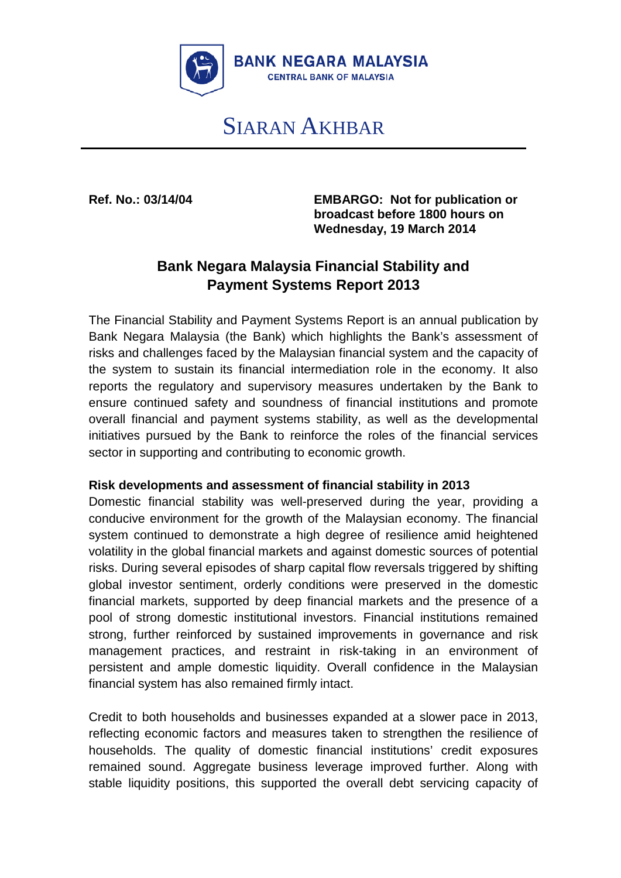

# SIARAN AKHBAR

**Ref. No.: 03/14/04 EMBARGO: Not for publication or broadcast before 1800 hours on Wednesday, 19 March 2014**

# **Bank Negara Malaysia Financial Stability and Payment Systems Report 2013**

The Financial Stability and Payment Systems Report is an annual publication by Bank Negara Malaysia (the Bank) which highlights the Bank's assessment of risks and challenges faced by the Malaysian financial system and the capacity of the system to sustain its financial intermediation role in the economy. It also reports the regulatory and supervisory measures undertaken by the Bank to ensure continued safety and soundness of financial institutions and promote overall financial and payment systems stability, as well as the developmental initiatives pursued by the Bank to reinforce the roles of the financial services sector in supporting and contributing to economic growth.

# **Risk developments and assessment of financial stability in 2013**

Domestic financial stability was well-preserved during the year, providing a conducive environment for the growth of the Malaysian economy. The financial system continued to demonstrate a high degree of resilience amid heightened volatility in the global financial markets and against domestic sources of potential risks. During several episodes of sharp capital flow reversals triggered by shifting global investor sentiment, orderly conditions were preserved in the domestic financial markets, supported by deep financial markets and the presence of a pool of strong domestic institutional investors. Financial institutions remained strong, further reinforced by sustained improvements in governance and risk management practices, and restraint in risk-taking in an environment of persistent and ample domestic liquidity. Overall confidence in the Malaysian financial system has also remained firmly intact.

Credit to both households and businesses expanded at a slower pace in 2013, reflecting economic factors and measures taken to strengthen the resilience of households. The quality of domestic financial institutions' credit exposures remained sound. Aggregate business leverage improved further. Along with stable liquidity positions, this supported the overall debt servicing capacity of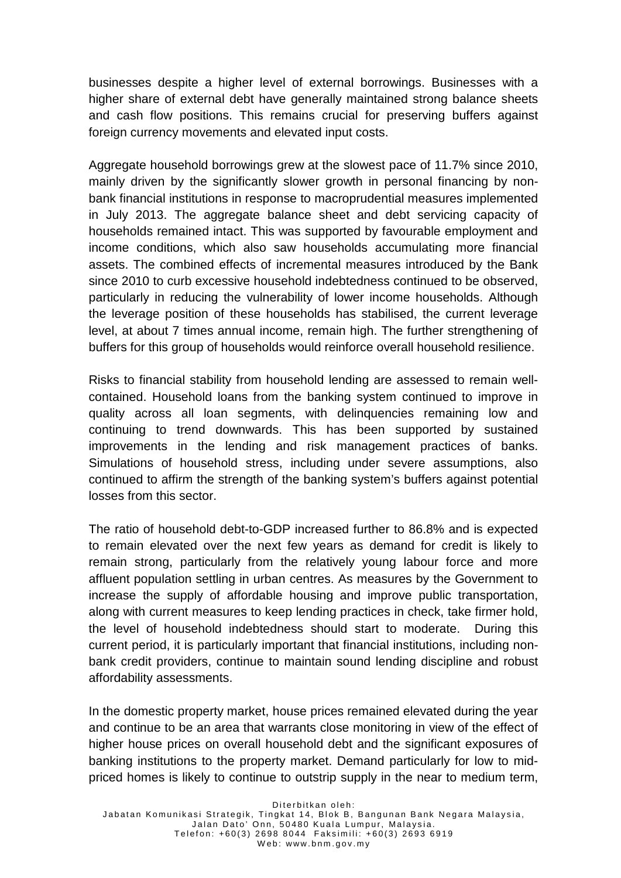businesses despite a higher level of external borrowings. Businesses with a higher share of external debt have generally maintained strong balance sheets and cash flow positions. This remains crucial for preserving buffers against foreign currency movements and elevated input costs.

Aggregate household borrowings grew at the slowest pace of 11.7% since 2010, mainly driven by the significantly slower growth in personal financing by nonbank financial institutions in response to macroprudential measures implemented in July 2013. The aggregate balance sheet and debt servicing capacity of households remained intact. This was supported by favourable employment and income conditions, which also saw households accumulating more financial assets. The combined effects of incremental measures introduced by the Bank since 2010 to curb excessive household indebtedness continued to be observed, particularly in reducing the vulnerability of lower income households. Although the leverage position of these households has stabilised, the current leverage level, at about 7 times annual income, remain high. The further strengthening of buffers for this group of households would reinforce overall household resilience.

Risks to financial stability from household lending are assessed to remain wellcontained. Household loans from the banking system continued to improve in quality across all loan segments, with delinquencies remaining low and continuing to trend downwards. This has been supported by sustained improvements in the lending and risk management practices of banks. Simulations of household stress, including under severe assumptions, also continued to affirm the strength of the banking system's buffers against potential losses from this sector.

The ratio of household debt-to-GDP increased further to 86.8% and is expected to remain elevated over the next few years as demand for credit is likely to remain strong, particularly from the relatively young labour force and more affluent population settling in urban centres. As measures by the Government to increase the supply of affordable housing and improve public transportation, along with current measures to keep lending practices in check, take firmer hold, the level of household indebtedness should start to moderate. During this current period, it is particularly important that financial institutions, including nonbank credit providers, continue to maintain sound lending discipline and robust affordability assessments.

In the domestic property market, house prices remained elevated during the year and continue to be an area that warrants close monitoring in view of the effect of higher house prices on overall household debt and the significant exposures of banking institutions to the property market. Demand particularly for low to midpriced homes is likely to continue to outstrip supply in the near to medium term,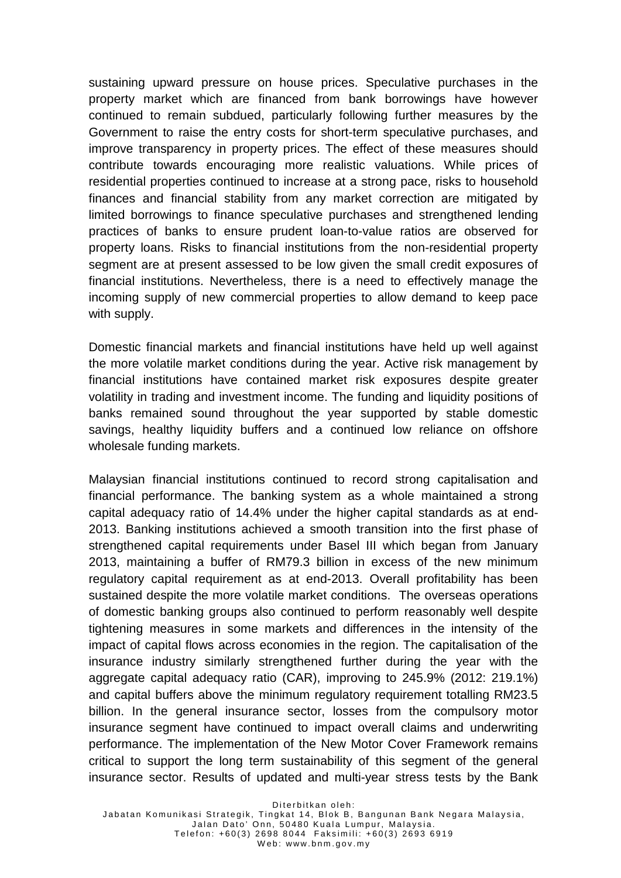sustaining upward pressure on house prices. Speculative purchases in the property market which are financed from bank borrowings have however continued to remain subdued, particularly following further measures by the Government to raise the entry costs for short-term speculative purchases, and improve transparency in property prices. The effect of these measures should contribute towards encouraging more realistic valuations. While prices of residential properties continued to increase at a strong pace, risks to household finances and financial stability from any market correction are mitigated by limited borrowings to finance speculative purchases and strengthened lending practices of banks to ensure prudent loan-to-value ratios are observed for property loans. Risks to financial institutions from the non-residential property segment are at present assessed to be low given the small credit exposures of financial institutions. Nevertheless, there is a need to effectively manage the incoming supply of new commercial properties to allow demand to keep pace with supply.

Domestic financial markets and financial institutions have held up well against the more volatile market conditions during the year. Active risk management by financial institutions have contained market risk exposures despite greater volatility in trading and investment income. The funding and liquidity positions of banks remained sound throughout the year supported by stable domestic savings, healthy liquidity buffers and a continued low reliance on offshore wholesale funding markets.

Malaysian financial institutions continued to record strong capitalisation and financial performance. The banking system as a whole maintained a strong capital adequacy ratio of 14.4% under the higher capital standards as at end-2013. Banking institutions achieved a smooth transition into the first phase of strengthened capital requirements under Basel III which began from January 2013, maintaining a buffer of RM79.3 billion in excess of the new minimum regulatory capital requirement as at end-2013. Overall profitability has been sustained despite the more volatile market conditions. The overseas operations of domestic banking groups also continued to perform reasonably well despite tightening measures in some markets and differences in the intensity of the impact of capital flows across economies in the region. The capitalisation of the insurance industry similarly strengthened further during the year with the aggregate capital adequacy ratio (CAR), improving to 245.9% (2012: 219.1%) and capital buffers above the minimum regulatory requirement totalling RM23.5 billion. In the general insurance sector, losses from the compulsory motor insurance segment have continued to impact overall claims and underwriting performance. The implementation of the New Motor Cover Framework remains critical to support the long term sustainability of this segment of the general insurance sector. Results of updated and multi-year stress tests by the Bank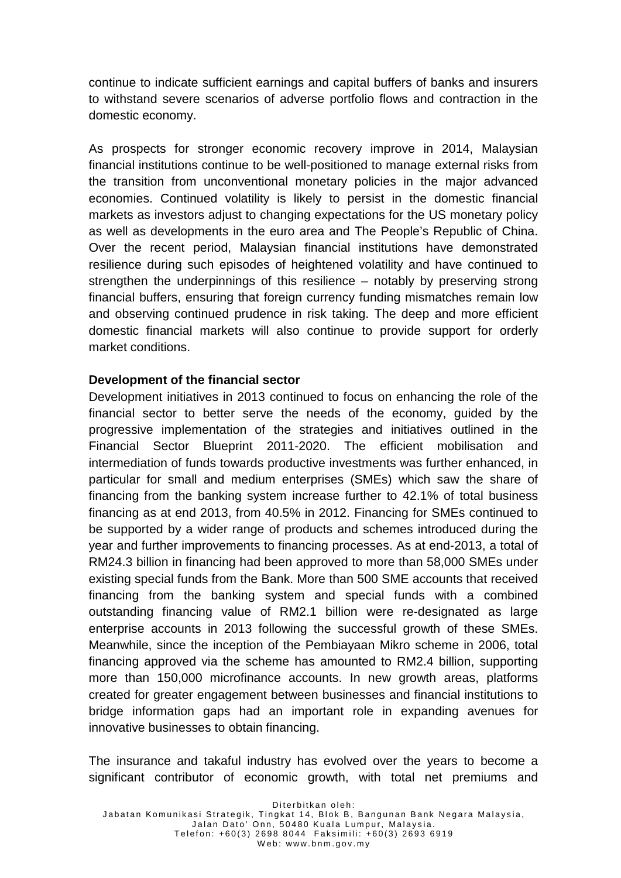continue to indicate sufficient earnings and capital buffers of banks and insurers to withstand severe scenarios of adverse portfolio flows and contraction in the domestic economy.

As prospects for stronger economic recovery improve in 2014, Malaysian financial institutions continue to be well-positioned to manage external risks from the transition from unconventional monetary policies in the major advanced economies. Continued volatility is likely to persist in the domestic financial markets as investors adjust to changing expectations for the US monetary policy as well as developments in the euro area and The People's Republic of China. Over the recent period, Malaysian financial institutions have demonstrated resilience during such episodes of heightened volatility and have continued to strengthen the underpinnings of this resilience – notably by preserving strong financial buffers, ensuring that foreign currency funding mismatches remain low and observing continued prudence in risk taking. The deep and more efficient domestic financial markets will also continue to provide support for orderly market conditions.

## **Development of the financial sector**

Development initiatives in 2013 continued to focus on enhancing the role of the financial sector to better serve the needs of the economy, guided by the progressive implementation of the strategies and initiatives outlined in the Financial Sector Blueprint 2011-2020. The efficient mobilisation and intermediation of funds towards productive investments was further enhanced, in particular for small and medium enterprises (SMEs) which saw the share of financing from the banking system increase further to 42.1% of total business financing as at end 2013, from 40.5% in 2012. Financing for SMEs continued to be supported by a wider range of products and schemes introduced during the year and further improvements to financing processes. As at end-2013, a total of RM24.3 billion in financing had been approved to more than 58,000 SMEs under existing special funds from the Bank. More than 500 SME accounts that received financing from the banking system and special funds with a combined outstanding financing value of RM2.1 billion were re-designated as large enterprise accounts in 2013 following the successful growth of these SMEs. Meanwhile, since the inception of the Pembiayaan Mikro scheme in 2006, total financing approved via the scheme has amounted to RM2.4 billion, supporting more than 150,000 microfinance accounts. In new growth areas, platforms created for greater engagement between businesses and financial institutions to bridge information gaps had an important role in expanding avenues for innovative businesses to obtain financing.

The insurance and takaful industry has evolved over the years to become a significant contributor of economic growth, with total net premiums and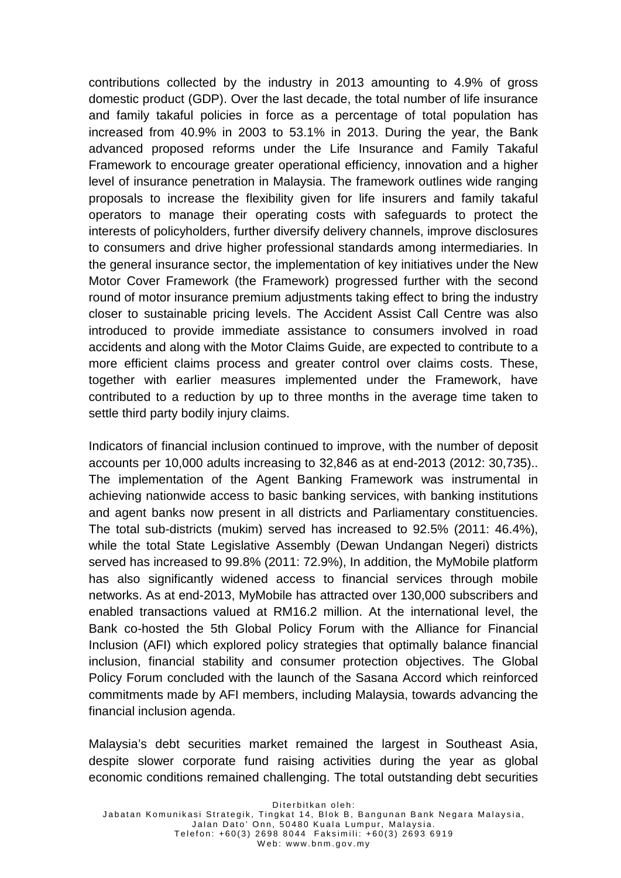contributions collected by the industry in 2013 amounting to 4.9% of gross domestic product (GDP). Over the last decade, the total number of life insurance and family takaful policies in force as a percentage of total population has increased from 40.9% in 2003 to 53.1% in 2013. During the year, the Bank advanced proposed reforms under the Life Insurance and Family Takaful Framework to encourage greater operational efficiency, innovation and a higher level of insurance penetration in Malaysia. The framework outlines wide ranging proposals to increase the flexibility given for life insurers and family takaful operators to manage their operating costs with safeguards to protect the interests of policyholders, further diversify delivery channels, improve disclosures to consumers and drive higher professional standards among intermediaries. In the general insurance sector, the implementation of key initiatives under the New Motor Cover Framework (the Framework) progressed further with the second round of motor insurance premium adjustments taking effect to bring the industry closer to sustainable pricing levels. The Accident Assist Call Centre was also introduced to provide immediate assistance to consumers involved in road accidents and along with the Motor Claims Guide, are expected to contribute to a more efficient claims process and greater control over claims costs. These, together with earlier measures implemented under the Framework, have contributed to a reduction by up to three months in the average time taken to settle third party bodily injury claims.

Indicators of financial inclusion continued to improve, with the number of deposit accounts per 10,000 adults increasing to 32,846 as at end-2013 (2012: 30,735).. The implementation of the Agent Banking Framework was instrumental in achieving nationwide access to basic banking services, with banking institutions and agent banks now present in all districts and Parliamentary constituencies. The total sub-districts (mukim) served has increased to 92.5% (2011: 46.4%), while the total State Legislative Assembly (Dewan Undangan Negeri) districts served has increased to 99.8% (2011: 72.9%), In addition, the MyMobile platform has also significantly widened access to financial services through mobile networks. As at end-2013, MyMobile has attracted over 130,000 subscribers and enabled transactions valued at RM16.2 million. At the international level, the Bank co-hosted the 5th Global Policy Forum with the Alliance for Financial Inclusion (AFI) which explored policy strategies that optimally balance financial inclusion, financial stability and consumer protection objectives. The Global Policy Forum concluded with the launch of the Sasana Accord which reinforced commitments made by AFI members, including Malaysia, towards advancing the financial inclusion agenda.

Malaysia's debt securities market remained the largest in Southeast Asia, despite slower corporate fund raising activities during the year as global economic conditions remained challenging. The total outstanding debt securities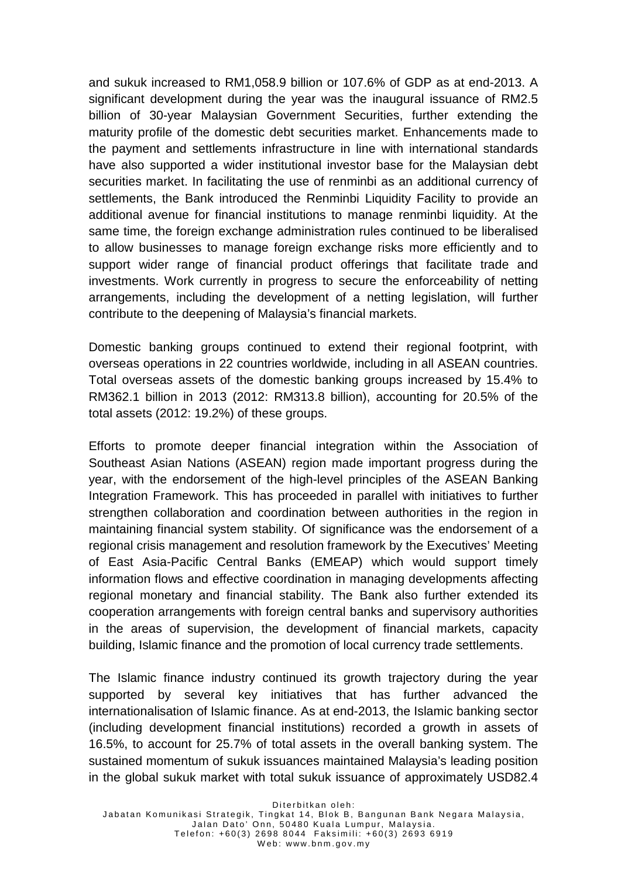and sukuk increased to RM1,058.9 billion or 107.6% of GDP as at end-2013. A significant development during the year was the inaugural issuance of RM2.5 billion of 30-year Malaysian Government Securities, further extending the maturity profile of the domestic debt securities market. Enhancements made to the payment and settlements infrastructure in line with international standards have also supported a wider institutional investor base for the Malaysian debt securities market. In facilitating the use of renminbi as an additional currency of settlements, the Bank introduced the Renminbi Liquidity Facility to provide an additional avenue for financial institutions to manage renminbi liquidity. At the same time, the foreign exchange administration rules continued to be liberalised to allow businesses to manage foreign exchange risks more efficiently and to support wider range of financial product offerings that facilitate trade and investments. Work currently in progress to secure the enforceability of netting arrangements, including the development of a netting legislation, will further contribute to the deepening of Malaysia's financial markets.

Domestic banking groups continued to extend their regional footprint, with overseas operations in 22 countries worldwide, including in all ASEAN countries. Total overseas assets of the domestic banking groups increased by 15.4% to RM362.1 billion in 2013 (2012: RM313.8 billion), accounting for 20.5% of the total assets (2012: 19.2%) of these groups.

Efforts to promote deeper financial integration within the Association of Southeast Asian Nations (ASEAN) region made important progress during the year, with the endorsement of the high-level principles of the ASEAN Banking Integration Framework. This has proceeded in parallel with initiatives to further strengthen collaboration and coordination between authorities in the region in maintaining financial system stability. Of significance was the endorsement of a regional crisis management and resolution framework by the Executives' Meeting of East Asia-Pacific Central Banks (EMEAP) which would support timely information flows and effective coordination in managing developments affecting regional monetary and financial stability. The Bank also further extended its cooperation arrangements with foreign central banks and supervisory authorities in the areas of supervision, the development of financial markets, capacity building, Islamic finance and the promotion of local currency trade settlements.

The Islamic finance industry continued its growth trajectory during the year supported by several key initiatives that has further advanced the internationalisation of Islamic finance. As at end-2013, the Islamic banking sector (including development financial institutions) recorded a growth in assets of 16.5%, to account for 25.7% of total assets in the overall banking system. The sustained momentum of sukuk issuances maintained Malaysia's leading position in the global sukuk market with total sukuk issuance of approximately USD82.4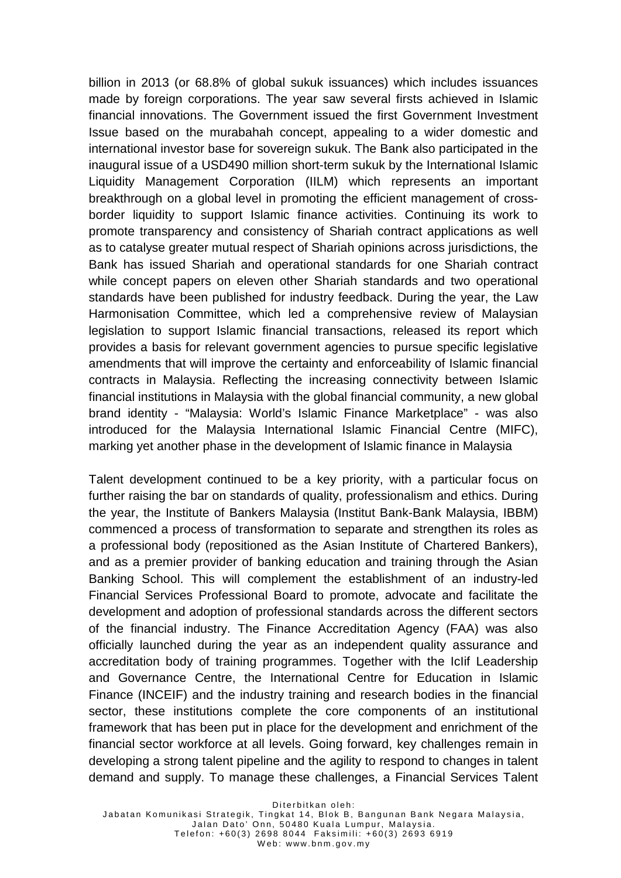billion in 2013 (or 68.8% of global sukuk issuances) which includes issuances made by foreign corporations. The year saw several firsts achieved in Islamic financial innovations. The Government issued the first Government Investment Issue based on the murabahah concept, appealing to a wider domestic and international investor base for sovereign sukuk. The Bank also participated in the inaugural issue of a USD490 million short-term sukuk by the International Islamic Liquidity Management Corporation (IILM) which represents an important breakthrough on a global level in promoting the efficient management of crossborder liquidity to support Islamic finance activities. Continuing its work to promote transparency and consistency of Shariah contract applications as well as to catalyse greater mutual respect of Shariah opinions across jurisdictions, the Bank has issued Shariah and operational standards for one Shariah contract while concept papers on eleven other Shariah standards and two operational standards have been published for industry feedback. During the year, the Law Harmonisation Committee, which led a comprehensive review of Malaysian legislation to support Islamic financial transactions, released its report which provides a basis for relevant government agencies to pursue specific legislative amendments that will improve the certainty and enforceability of Islamic financial contracts in Malaysia. Reflecting the increasing connectivity between Islamic financial institutions in Malaysia with the global financial community, a new global brand identity - "Malaysia: World's Islamic Finance Marketplace" - was also introduced for the Malaysia International Islamic Financial Centre (MIFC), marking yet another phase in the development of Islamic finance in Malaysia

Talent development continued to be a key priority, with a particular focus on further raising the bar on standards of quality, professionalism and ethics. During the year, the Institute of Bankers Malaysia (Institut Bank-Bank Malaysia, IBBM) commenced a process of transformation to separate and strengthen its roles as a professional body (repositioned as the Asian Institute of Chartered Bankers), and as a premier provider of banking education and training through the Asian Banking School. This will complement the establishment of an industry-led Financial Services Professional Board to promote, advocate and facilitate the development and adoption of professional standards across the different sectors of the financial industry. The Finance Accreditation Agency (FAA) was also officially launched during the year as an independent quality assurance and accreditation body of training programmes. Together with the IcIif Leadership and Governance Centre, the International Centre for Education in Islamic Finance (INCEIF) and the industry training and research bodies in the financial sector, these institutions complete the core components of an institutional framework that has been put in place for the development and enrichment of the financial sector workforce at all levels. Going forward, key challenges remain in developing a strong talent pipeline and the agility to respond to changes in talent demand and supply. To manage these challenges, a Financial Services Talent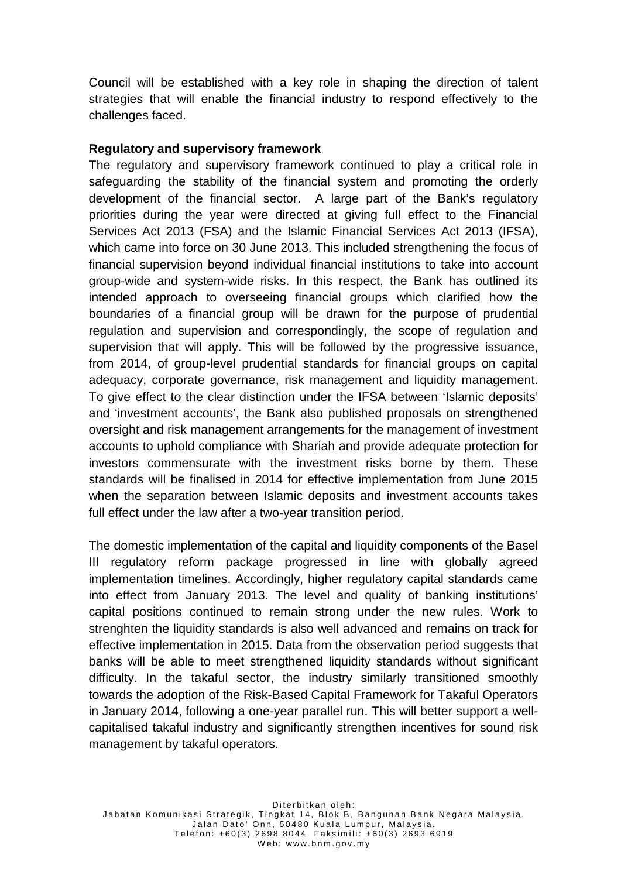Council will be established with a key role in shaping the direction of talent strategies that will enable the financial industry to respond effectively to the challenges faced.

# **Regulatory and supervisory framework**

The regulatory and supervisory framework continued to play a critical role in safeguarding the stability of the financial system and promoting the orderly development of the financial sector. A large part of the Bank's regulatory priorities during the year were directed at giving full effect to the Financial Services Act 2013 (FSA) and the Islamic Financial Services Act 2013 (IFSA), which came into force on 30 June 2013. This included strengthening the focus of financial supervision beyond individual financial institutions to take into account group-wide and system-wide risks. In this respect, the Bank has outlined its intended approach to overseeing financial groups which clarified how the boundaries of a financial group will be drawn for the purpose of prudential regulation and supervision and correspondingly, the scope of regulation and supervision that will apply. This will be followed by the progressive issuance, from 2014, of group-level prudential standards for financial groups on capital adequacy, corporate governance, risk management and liquidity management. To give effect to the clear distinction under the IFSA between 'Islamic deposits' and 'investment accounts', the Bank also published proposals on strengthened oversight and risk management arrangements for the management of investment accounts to uphold compliance with Shariah and provide adequate protection for investors commensurate with the investment risks borne by them. These standards will be finalised in 2014 for effective implementation from June 2015 when the separation between Islamic deposits and investment accounts takes full effect under the law after a two-year transition period.

The domestic implementation of the capital and liquidity components of the Basel III regulatory reform package progressed in line with globally agreed implementation timelines. Accordingly, higher regulatory capital standards came into effect from January 2013. The level and quality of banking institutions' capital positions continued to remain strong under the new rules. Work to strenghten the liquidity standards is also well advanced and remains on track for effective implementation in 2015. Data from the observation period suggests that banks will be able to meet strengthened liquidity standards without significant difficulty. In the takaful sector, the industry similarly transitioned smoothly towards the adoption of the Risk-Based Capital Framework for Takaful Operators in January 2014, following a one-year parallel run. This will better support a wellcapitalised takaful industry and significantly strengthen incentives for sound risk management by takaful operators.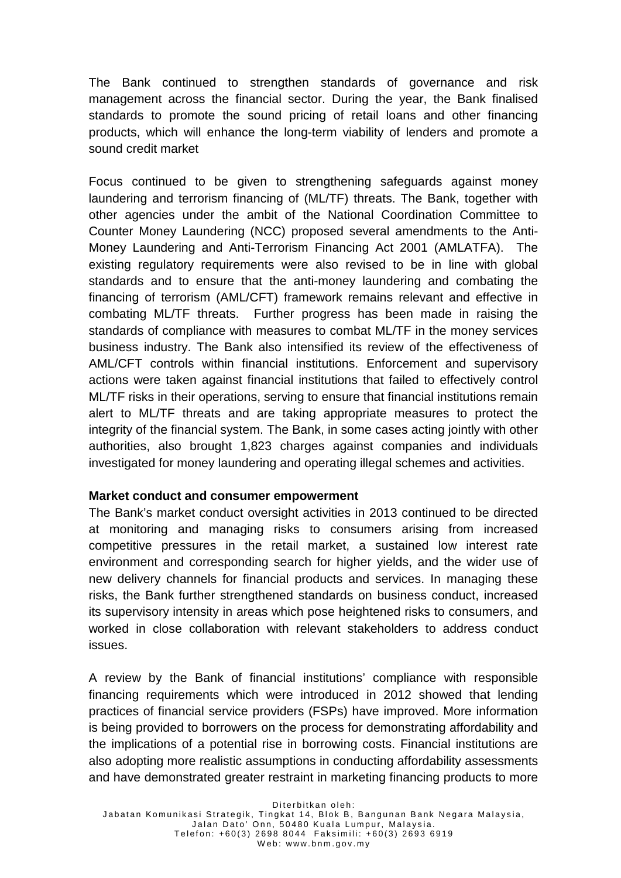The Bank continued to strengthen standards of governance and risk management across the financial sector. During the year, the Bank finalised standards to promote the sound pricing of retail loans and other financing products, which will enhance the long-term viability of lenders and promote a sound credit market

Focus continued to be given to strengthening safeguards against money laundering and terrorism financing of (ML/TF) threats. The Bank, together with other agencies under the ambit of the National Coordination Committee to Counter Money Laundering (NCC) proposed several amendments to the Anti-Money Laundering and Anti-Terrorism Financing Act 2001 (AMLATFA). The existing regulatory requirements were also revised to be in line with global standards and to ensure that the anti-money laundering and combating the financing of terrorism (AML/CFT) framework remains relevant and effective in combating ML/TF threats. Further progress has been made in raising the standards of compliance with measures to combat ML/TF in the money services business industry. The Bank also intensified its review of the effectiveness of AML/CFT controls within financial institutions. Enforcement and supervisory actions were taken against financial institutions that failed to effectively control ML/TF risks in their operations, serving to ensure that financial institutions remain alert to ML/TF threats and are taking appropriate measures to protect the integrity of the financial system. The Bank, in some cases acting jointly with other authorities, also brought 1,823 charges against companies and individuals investigated for money laundering and operating illegal schemes and activities.

## **Market conduct and consumer empowerment**

The Bank's market conduct oversight activities in 2013 continued to be directed at monitoring and managing risks to consumers arising from increased competitive pressures in the retail market, a sustained low interest rate environment and corresponding search for higher yields, and the wider use of new delivery channels for financial products and services. In managing these risks, the Bank further strengthened standards on business conduct, increased its supervisory intensity in areas which pose heightened risks to consumers, and worked in close collaboration with relevant stakeholders to address conduct issues.

A review by the Bank of financial institutions' compliance with responsible financing requirements which were introduced in 2012 showed that lending practices of financial service providers (FSPs) have improved. More information is being provided to borrowers on the process for demonstrating affordability and the implications of a potential rise in borrowing costs. Financial institutions are also adopting more realistic assumptions in conducting affordability assessments and have demonstrated greater restraint in marketing financing products to more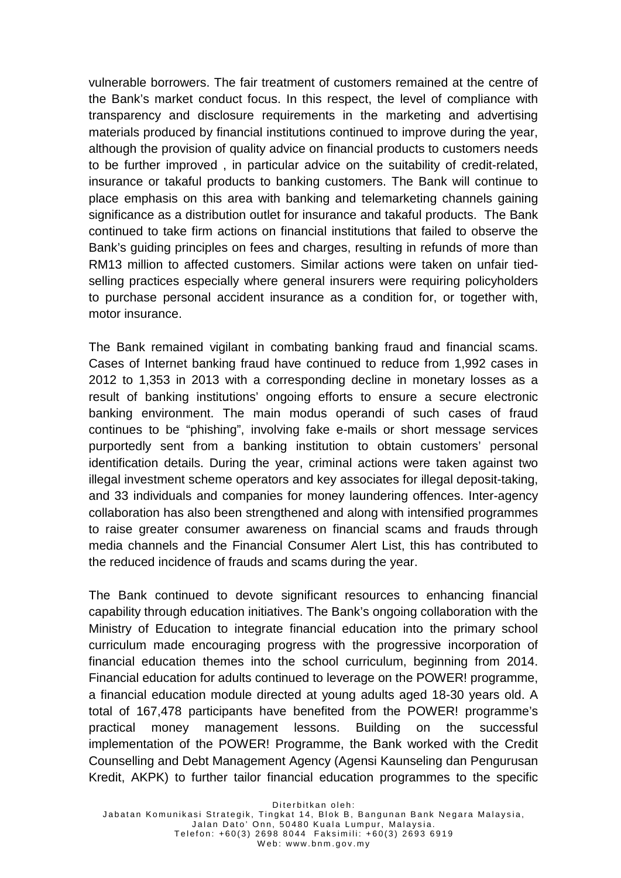vulnerable borrowers. The fair treatment of customers remained at the centre of the Bank's market conduct focus. In this respect, the level of compliance with transparency and disclosure requirements in the marketing and advertising materials produced by financial institutions continued to improve during the year, although the provision of quality advice on financial products to customers needs to be further improved , in particular advice on the suitability of credit-related, insurance or takaful products to banking customers. The Bank will continue to place emphasis on this area with banking and telemarketing channels gaining significance as a distribution outlet for insurance and takaful products. The Bank continued to take firm actions on financial institutions that failed to observe the Bank's guiding principles on fees and charges, resulting in refunds of more than RM13 million to affected customers. Similar actions were taken on unfair tiedselling practices especially where general insurers were requiring policyholders to purchase personal accident insurance as a condition for, or together with, motor insurance.

The Bank remained vigilant in combating banking fraud and financial scams. Cases of Internet banking fraud have continued to reduce from 1,992 cases in 2012 to 1,353 in 2013 with a corresponding decline in monetary losses as a result of banking institutions' ongoing efforts to ensure a secure electronic banking environment. The main modus operandi of such cases of fraud continues to be "phishing", involving fake e-mails or short message services purportedly sent from a banking institution to obtain customers' personal identification details. During the year, criminal actions were taken against two illegal investment scheme operators and key associates for illegal deposit-taking, and 33 individuals and companies for money laundering offences. Inter-agency collaboration has also been strengthened and along with intensified programmes to raise greater consumer awareness on financial scams and frauds through media channels and the Financial Consumer Alert List, this has contributed to the reduced incidence of frauds and scams during the year.

The Bank continued to devote significant resources to enhancing financial capability through education initiatives. The Bank's ongoing collaboration with the Ministry of Education to integrate financial education into the primary school curriculum made encouraging progress with the progressive incorporation of financial education themes into the school curriculum, beginning from 2014. Financial education for adults continued to leverage on the POWER! programme, a financial education module directed at young adults aged 18-30 years old. A total of 167,478 participants have benefited from the POWER! programme's practical money management lessons. Building on the successful implementation of the POWER! Programme, the Bank worked with the Credit Counselling and Debt Management Agency (Agensi Kaunseling dan Pengurusan Kredit, AKPK) to further tailor financial education programmes to the specific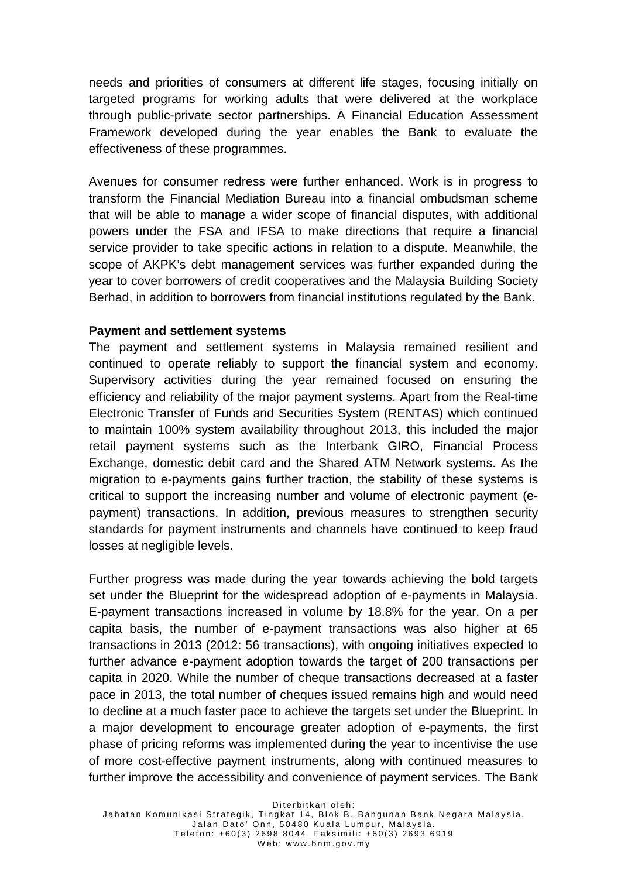needs and priorities of consumers at different life stages, focusing initially on targeted programs for working adults that were delivered at the workplace through public-private sector partnerships. A Financial Education Assessment Framework developed during the year enables the Bank to evaluate the effectiveness of these programmes.

Avenues for consumer redress were further enhanced. Work is in progress to transform the Financial Mediation Bureau into a financial ombudsman scheme that will be able to manage a wider scope of financial disputes, with additional powers under the FSA and IFSA to make directions that require a financial service provider to take specific actions in relation to a dispute. Meanwhile, the scope of AKPK's debt management services was further expanded during the year to cover borrowers of credit cooperatives and the Malaysia Building Society Berhad, in addition to borrowers from financial institutions regulated by the Bank.

## **Payment and settlement systems**

The payment and settlement systems in Malaysia remained resilient and continued to operate reliably to support the financial system and economy. Supervisory activities during the year remained focused on ensuring the efficiency and reliability of the major payment systems. Apart from the Real-time Electronic Transfer of Funds and Securities System (RENTAS) which continued to maintain 100% system availability throughout 2013, this included the major retail payment systems such as the Interbank GIRO, Financial Process Exchange, domestic debit card and the Shared ATM Network systems. As the migration to e-payments gains further traction, the stability of these systems is critical to support the increasing number and volume of electronic payment (epayment) transactions. In addition, previous measures to strengthen security standards for payment instruments and channels have continued to keep fraud losses at negligible levels.

Further progress was made during the year towards achieving the bold targets set under the Blueprint for the widespread adoption of e-payments in Malaysia. E-payment transactions increased in volume by 18.8% for the year. On a per capita basis, the number of e-payment transactions was also higher at 65 transactions in 2013 (2012: 56 transactions), with ongoing initiatives expected to further advance e-payment adoption towards the target of 200 transactions per capita in 2020. While the number of cheque transactions decreased at a faster pace in 2013, the total number of cheques issued remains high and would need to decline at a much faster pace to achieve the targets set under the Blueprint. In a major development to encourage greater adoption of e-payments, the first phase of pricing reforms was implemented during the year to incentivise the use of more cost-effective payment instruments, along with continued measures to further improve the accessibility and convenience of payment services. The Bank